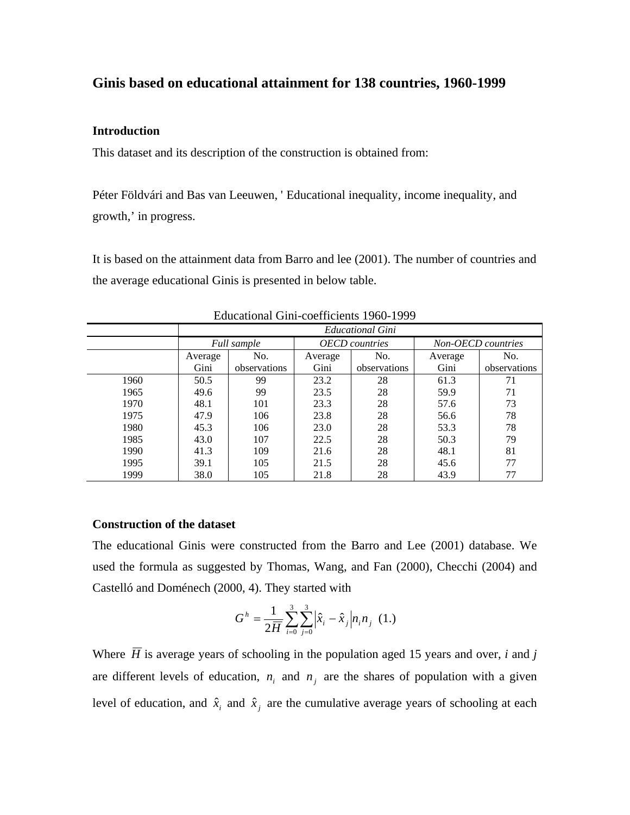## **Ginis based on educational attainment for 138 countries, 1960-1999**

## **Introduction**

This dataset and its description of the construction is obtained from:

Péter Földvári and Bas van Leeuwen, ' Educational inequality, income inequality, and growth,' in progress.

It is based on the attainment data from Barro and lee (2001). The number of countries and the average educational Ginis is presented in below table.

|      | <b>Educational Gini</b> |              |                       |              |                    |              |
|------|-------------------------|--------------|-----------------------|--------------|--------------------|--------------|
|      | Full sample             |              | <b>OECD</b> countries |              | Non-OECD countries |              |
|      | Average                 | No.          | Average               | No.          | Average            | No.          |
|      | Gini                    | observations | Gini                  | observations | Gini               | observations |
| 1960 | 50.5                    | 99           | 23.2                  | 28           | 61.3               | 71           |
| 1965 | 49.6                    | 99           | 23.5                  | 28           | 59.9               | 71           |
| 1970 | 48.1                    | 101          | 23.3                  | 28           | 57.6               | 73           |
| 1975 | 47.9                    | 106          | 23.8                  | 28           | 56.6               | 78           |
| 1980 | 45.3                    | 106          | 23.0                  | 28           | 53.3               | 78           |
| 1985 | 43.0                    | 107          | 22.5                  | 28           | 50.3               | 79           |
| 1990 | 41.3                    | 109          | 21.6                  | 28           | 48.1               | 81           |
| 1995 | 39.1                    | 105          | 21.5                  | 28           | 45.6               | 77           |
| 1999 | 38.0                    | 105          | 21.8                  | 28           | 43.9               | 77           |

Educational Gini-coefficients 1960-1999

## **Construction of the dataset**

The educational Ginis were constructed from the Barro and Lee (2001) database. We used the formula as suggested by Thomas, Wang, and Fan (2000), Checchi (2004) and Castelló and Doménech (2000, 4). They started with

$$
G^h = \frac{1}{2\overline{H}} \sum_{i=0}^{3} \sum_{j=0}^{3} \left| \hat{x}_i - \hat{x}_j \right| n_i n_j \quad (1.)
$$

Where  $\overline{H}$  is average years of schooling in the population aged 15 years and over, *i* and *j* are different levels of education,  $n_i$  and  $n_j$  are the shares of population with a given level of education, and  $\hat{x}_i$  and  $\hat{x}_j$  are the cumulative average years of schooling at each